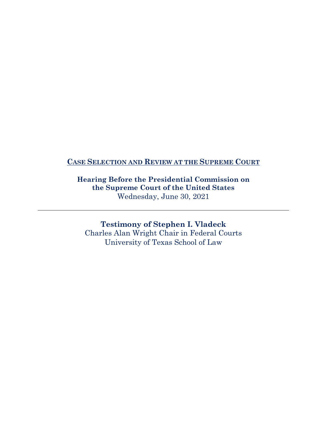### **CASE SELECTION AND REVIEW AT THE SUPREME COURT**

**Hearing Before the Presidential Commission on the Supreme Court of the United States**  Wednesday, June 30, 2021

**Testimony of Stephen I. Vladeck** Charles Alan Wright Chair in Federal Courts University of Texas School of Law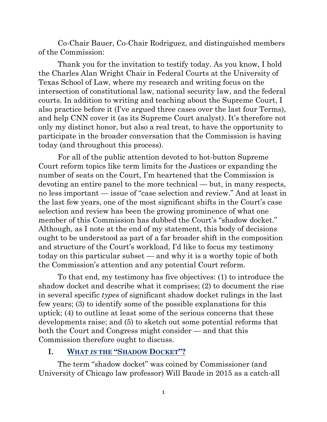Co-Chair Bauer, Co-Chair Rodriguez, and distinguished members of the Commission:

Thank you for the invitation to testify today. As you know, I hold the Charles Alan Wright Chair in Federal Courts at the University of Texas School of Law, where my research and writing focus on the intersection of constitutional law, national security law, and the federal courts. In addition to writing and teaching about the Supreme Court, I also practice before it (I've argued three cases over the last four Terms), and help CNN cover it (as its Supreme Court analyst). It's therefore not only my distinct honor, but also a real treat, to have the opportunity to participate in the broader conversation that the Commission is having today (and throughout this process).

For all of the public attention devoted to hot-button Supreme Court reform topics like term limits for the Justices or expanding the number of seats on the Court, I'm heartened that the Commission is devoting an entire panel to the more technical — but, in many respects, no less important — issue of "case selection and review." And at least in the last few years, one of the most significant shifts in the Court's case selection and review has been the growing prominence of what one member of this Commission has dubbed the Court's "shadow docket." Although, as I note at the end of my statement, this body of decisions ought to be understood as part of a far broader shift in the composition and structure of the Court's workload, I'd like to focus my testimony today on this particular subset — and why it is a worthy topic of both the Commission's attention and any potential Court reform.

To that end, my testimony has five objectives: (1) to introduce the shadow docket and describe what it comprises; (2) to document the rise in several specific *types* of significant shadow docket rulings in the last few years; (3) to identify some of the possible explanations for this uptick; (4) to outline at least some of the serious concerns that these developments raise; and (5) to sketch out some potential reforms that both the Court and Congress might consider — and that this Commission therefore ought to discuss.

### **I. WHAT** *IS* **THE "SHADOW DOCKET"?**

The term "shadow docket" was coined by Commissioner (and University of Chicago law professor) Will Baude in 2015 as a catch-all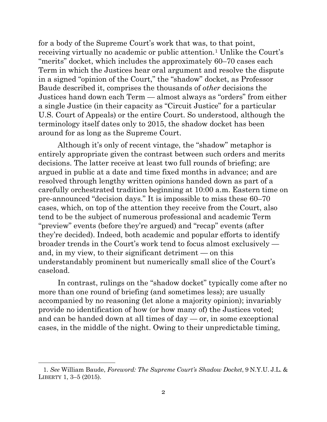for a body of the Supreme Court's work that was, to that point, receiving virtually no academic or public attention.[1](#page-2-0) Unlike the Court's "merits" docket, which includes the approximately 60–70 cases each Term in which the Justices hear oral argument and resolve the dispute in a signed "opinion of the Court," the "shadow" docket, as Professor Baude described it, comprises the thousands of *other* decisions the Justices hand down each Term — almost always as "orders" from either a single Justice (in their capacity as "Circuit Justice" for a particular U.S. Court of Appeals) or the entire Court. So understood, although the terminology itself dates only to 2015, the shadow docket has been around for as long as the Supreme Court.

Although it's only of recent vintage, the "shadow" metaphor is entirely appropriate given the contrast between such orders and merits decisions. The latter receive at least two full rounds of briefing; are argued in public at a date and time fixed months in advance; and are resolved through lengthy written opinions handed down as part of a carefully orchestrated tradition beginning at 10:00 a.m. Eastern time on pre-announced "decision days." It is impossible to miss these 60–70 cases, which, on top of the attention they receive from the Court, also tend to be the subject of numerous professional and academic Term "preview" events (before they're argued) and "recap" events (after they're decided). Indeed, both academic and popular efforts to identify broader trends in the Court's work tend to focus almost exclusively and, in my view, to their significant detriment — on this understandably prominent but numerically small slice of the Court's caseload.

In contrast, rulings on the "shadow docket" typically come after no more than one round of briefing (and sometimes less); are usually accompanied by no reasoning (let alone a majority opinion); invariably provide no identification of how (or how many of) the Justices voted; and can be handed down at all times of  $day - or$ , in some exceptional cases, in the middle of the night. Owing to their unpredictable timing,

<span id="page-2-0"></span><sup>1.</sup> *See* William Baude, *Foreword: The Supreme Court's Shadow Docket*, 9 N.Y.U. J.L. & LIBERTY 1, 3–5 (2015).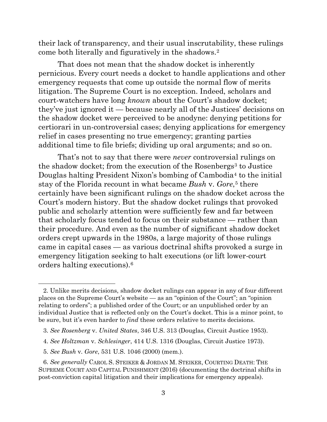their lack of transparency, and their usual inscrutability, these rulings come both literally and figuratively in the shadows.[2](#page-3-0)

That does not mean that the shadow docket is inherently pernicious. Every court needs a docket to handle applications and other emergency requests that come up outside the normal flow of merits litigation. The Supreme Court is no exception. Indeed, scholars and court-watchers have long *known* about the Court's shadow docket; they've just ignored it — because nearly all of the Justices' decisions on the shadow docket were perceived to be anodyne: denying petitions for certiorari in un-controversial cases; denying applications for emergency relief in cases presenting no true emergency; granting parties additional time to file briefs; dividing up oral arguments; and so on.

That's not to say that there were *never* controversial rulings on the shadow docket; from the execution of the Rosenbergs<sup>[3](#page-3-1)</sup> to Justice Douglas halting President Nixon's bombing of Cambodia<sup>[4](#page-3-2)</sup> to the initial stay of the Florida recount in what became *Bush* v. *Gore*,[5](#page-3-3) there certainly have been significant rulings on the shadow docket across the Court's modern history. But the shadow docket rulings that provoked public and scholarly attention were sufficiently few and far between that scholarly focus tended to focus on their substance — rather than their procedure. And even as the number of significant shadow docket orders crept upwards in the 1980s, a large majority of those rulings came in capital cases — as various doctrinal shifts provoked a surge in emergency litigation seeking to halt executions (or lift lower-court orders halting executions).[6](#page-3-4)

- <span id="page-3-2"></span>4. *See Holtzman* v. *Schlesinger*, 414 U.S. 1316 (Douglas, Circuit Justice 1973).
- 5. *See Bush* v. *Gore*, 531 U.S. 1046 (2000) (mem.).

<span id="page-3-0"></span><sup>2.</sup> Unlike merits decisions, shadow docket rulings can appear in any of four different places on the Supreme Court's website — as an "opinion of the Court"; an "opinion relating to orders"; a published order of the Court; or an unpublished order by an individual Justice that is reflected only on the Court's docket. This is a minor point, to be sure, but it's even harder to *find* these orders relative to merits decisions.

<span id="page-3-1"></span><sup>3.</sup> *See Rosenberg* v. *United States*, 346 U.S. 313 (Douglas, Circuit Justice 1953).

<span id="page-3-4"></span><span id="page-3-3"></span><sup>6.</sup> *See generally* CAROL S. STEIKER & JORDAN M. STEIKER, COURTING DEATH: THE SUPREME COURT AND CAPITAL PUNISHMENT (2016) (documenting the doctrinal shifts in post-conviction capital litigation and their implications for emergency appeals).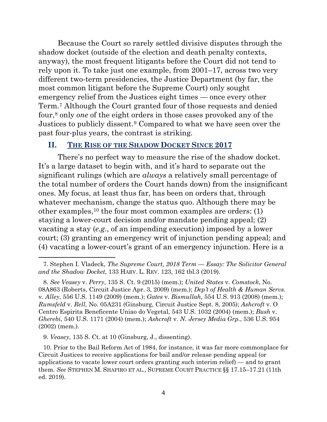Because the Court so rarely settled divisive disputes through the shadow docket (outside of the election and death penalty contexts, anyway), the most frequent litigants before the Court did not tend to rely upon it. To take just one example, from 2001–17, across two very different two-term presidencies, the Justice Department (by far, the most common litigant before the Supreme Court) only sought emergency relief from the Justices eight times — once every other Term.[7](#page-4-0) Although the Court granted four of those requests and denied four,[8](#page-4-1) only *one* of the eight orders in those cases provoked any of the Justices to publicly dissent.[9](#page-4-2) Compared to what we have seen over the past four-plus years, the contrast is striking.

#### <span id="page-4-4"></span>**II. THE RISE OF THE SHADOW DOCKET SINCE 2017**

There's no perfect way to measure the rise of the shadow docket. It's a large dataset to begin with, and it's hard to separate out the significant rulings (which are *always* a relatively small percentage of the total number of orders the Court hands down) from the insignificant ones. My focus, at least thus far, has been on orders that, through whatever mechanism, change the status quo. Although there may be other examples,[10](#page-4-3) the four most common examples are orders: (1) staying a lower-court decision and/or mandate pending appeal; (2) vacating a stay (*e.g.*, of an impending execution) imposed by a lower court; (3) granting an emergency writ of injunction pending appeal; and (4) vacating a lower-court's grant of an emergency injunction. Here is a

9. *Veasey*, 135 S. Ct. at 10 (Ginsburg, J., dissenting).

<span id="page-4-0"></span><sup>7.</sup> Stephen I. Vladeck, *The Supreme Court, 2018 Term — Essay: The Solicitor General and the Shadow Docket*, 133 HARV. L. REV. 123, 162 tbl.3 (2019).

<span id="page-4-1"></span><sup>8.</sup> *See Veasey* v. *Perry*, 135 S. Ct. 9 (2015) (mem.); *United States* v. *Comstock*, No. 08A863 (Roberts, Circuit Justice Apr. 3, 2009) (mem.); *Dep't of Health & Human Servs.*  v. *Alley*, 556 U.S. 1149 (2009) (mem.); *Gates* v. *Bismullah*, 554 U.S. 913 (2008) (mem.); *Rumsfeld* v. *Rell*, No. 05A231 (Ginsburg, Circuit Justice Sept. 8, 2005); *Ashcroft* v. O Centro Espirita Beneficente Uniao do Vegetal, 543 U.S. 1032 (2004) (mem.); *Bush* v. *Gherebi*, 540 U.S. 1171 (2004) (mem.); *Ashcroft* v. *N. Jersey Media Grp.*, 536 U.S. 954 (2002) (mem.).

<span id="page-4-3"></span><span id="page-4-2"></span><sup>10.</sup> Prior to the Bail Reform Act of 1984, for instance, it was far more commonplace for Circuit Justices to receive applications for bail and/or release pending appeal (or applications to vacate lower court orders granting such interim relief) — and to grant them. *See* STEPHEN M. SHAPIRO ET AL., SUPREME COURT PRACTICE §§ 17.15–17.21 (11th ed. 2019).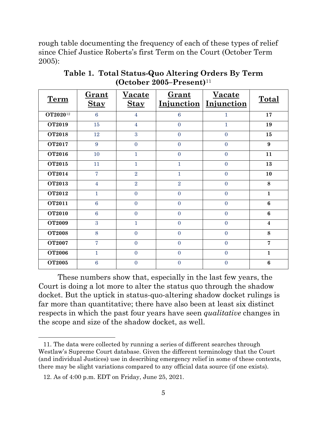rough table documenting the frequency of each of these types of relief since Chief Justice Roberts's first Term on the Court (October Term 2005):

| <b>Term</b>          | Grant<br><b>Stay</b> | <b>Vacate</b><br><b>Stay</b> | Grant<br>Injunction | <b>Vacate</b><br>Injunction | Total                   |
|----------------------|----------------------|------------------------------|---------------------|-----------------------------|-------------------------|
| OT2020 <sup>12</sup> | 6                    | $\overline{4}$               | $6\phantom{a}$      | 1                           | 17                      |
| <b>OT2019</b>        | 15                   | $\overline{4}$               | $\overline{0}$      | $\mathbf{1}$                | 19                      |
| <b>OT2018</b>        | 12                   | 3                            | $\overline{0}$      | $\overline{0}$              | 15                      |
| <b>OT2017</b>        | 9                    | $\overline{0}$               | $\overline{0}$      | $\overline{0}$              | 9                       |
| <b>OT2016</b>        | 10                   | 1                            | $\overline{0}$      | $\overline{0}$              | 11                      |
| <b>OT2015</b>        | 11                   | 1                            | 1                   | $\overline{0}$              | 13                      |
| <b>OT2014</b>        | $\overline{7}$       | $\overline{2}$               | $\mathbf{1}$        | $\overline{0}$              | 10                      |
| OT2013               | $\overline{4}$       | $\overline{2}$               | $\overline{2}$      | $\overline{0}$              | 8                       |
| <b>OT2012</b>        | $\mathbf{1}$         | $\overline{0}$               | $\overline{0}$      | $\overline{0}$              | $\mathbf{1}$            |
| <b>OT2011</b>        | $6\phantom{1}6$      | $\overline{0}$               | $\overline{0}$      | $\overline{0}$              | $6\phantom{1}$          |
| <b>OT2010</b>        | $6\phantom{1}6$      | $\overline{0}$               | $\overline{0}$      | $\overline{0}$              | $6\phantom{1}$          |
| <b>OT2009</b>        | 3                    | $\mathbf{1}$                 | $\overline{0}$      | $\overline{0}$              | $\overline{\mathbf{4}}$ |
| <b>OT2008</b>        | 8                    | $\overline{0}$               | $\overline{0}$      | $\overline{0}$              | 8                       |
| <b>OT2007</b>        | $\overline{7}$       | $\overline{0}$               | $\overline{0}$      | $\overline{0}$              | $\overline{7}$          |
| <b>OT2006</b>        | $\mathbf{1}$         | $\overline{0}$               | $\overline{0}$      | $\overline{0}$              | $\mathbf{1}$            |
| <b>OT2005</b>        | $\overline{6}$       | $\overline{0}$               | $\overline{0}$      | $\overline{0}$              | $6\phantom{a}$          |

**Table 1. Total Status-Quo Altering Orders By Term (October 2005–Present)**[11](#page-5-0)

These numbers show that, especially in the last few years, the Court is doing a lot more to alter the status quo through the shadow docket. But the uptick in status-quo-altering shadow docket rulings is far more than quantitative; there have also been at least six distinct respects in which the past four years have seen *qualitative* changes in the scope and size of the shadow docket, as well.

<span id="page-5-0"></span><sup>11.</sup> The data were collected by running a series of different searches through Westlaw's Supreme Court database. Given the different terminology that the Court (and individual Justices) use in describing emergency relief in some of these contexts, there may be slight variations compared to any official data source (if one exists).

<span id="page-5-1"></span><sup>12.</sup> As of 4:00 p.m. EDT on Friday, June 25, 2021.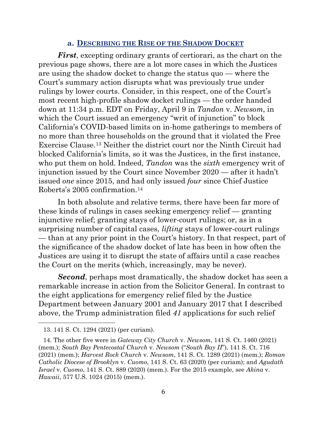#### **a. DESCRIBING THE RISE OF THE SHADOW DOCKET**

*First*, excepting ordinary grants of certiorari, as the chart on the previous page shows, there are a lot more cases in which the Justices are using the shadow docket to change the status quo — where the Court's summary action disrupts what was previously true under rulings by lower courts. Consider, in this respect, one of the Court's most recent high-profile shadow docket rulings — the order handed down at 11:34 p.m. EDT on Friday, April 9 in *Tandon* v. *Newsom*, in which the Court issued an emergency "writ of injunction" to block California's COVID-based limits on in-home gatherings to members of no more than three households on the ground that it violated the Free Exercise Clause.[13](#page-6-0) Neither the district court nor the Ninth Circuit had blocked California's limits, so it was the Justices, in the first instance, who put them on hold. Indeed, *Tandon* was the *sixth* emergency writ of injunction issued by the Court since November 2020 — after it hadn't issued *one* since 2015, and had only issued *four* since Chief Justice Roberts's 2005 confirmation.[14](#page-6-1)

In both absolute and relative terms, there have been far more of these kinds of rulings in cases seeking emergency relief — granting injunctive relief; granting stays of lower-court rulings; or, as in a surprising number of capital cases, *lifting* stays of lower-court rulings — than at any prior point in the Court's history. In that respect, part of the significance of the shadow docket of late has been in how often the Justices are using it to disrupt the state of affairs until a case reaches the Court on the merits (which, increasingly, may be never).

*Second*, perhaps most dramatically, the shadow docket has seen a remarkable increase in action from the Solicitor General. In contrast to the eight applications for emergency relief filed by the Justice Department between January 2001 and January 2017 that I described above, the Trump administration filed *41* applications for such relief

<sup>13. 141</sup> S. Ct. 1294 (2021) (per curiam).

<span id="page-6-1"></span><span id="page-6-0"></span><sup>14.</sup> The other five were in *Gateway City Church* v. *Newsom*, 141 S. Ct. 1460 (2021) (mem.); *South Bay Pentecostal Church* v. *Newsom* ("*South Bay II*"), 141 S. Ct. 716 (2021) (mem.); *Harvest Rock Church* v. *Newsom*, 141 S. Ct. 1289 (2021) (mem.); *Roman Catholic Diocese of Brooklyn* v. *Cuomo*, 141 S. Ct. 63 (2020) (per curiam); and *Agudath Israel* v. *Cuomo*, 141 S. Ct. 889 (2020) (mem.). For the 2015 example, see *Akina* v. *Hawaii*, 577 U.S. 1024 (2015) (mem.).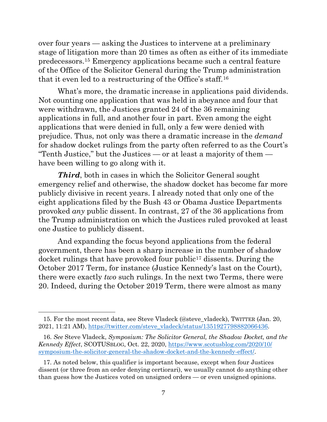over four years — asking the Justices to intervene at a preliminary stage of litigation more than 20 times as often as either of its immediate predecessors.[15](#page-7-0) Emergency applications became such a central feature of the Office of the Solicitor General during the Trump administration that it even led to a restructuring of the Office's staff.[16](#page-7-1)

What's more, the dramatic increase in applications paid dividends. Not counting one application that was held in abeyance and four that were withdrawn, the Justices granted 24 of the 36 remaining applications in full, and another four in part. Even among the eight applications that were denied in full, only a few were denied with prejudice. Thus, not only was there a dramatic increase in the *demand* for shadow docket rulings from the party often referred to as the Court's "Tenth Justice," but the Justices — or at least a majority of them have been willing to go along with it.

*Third*, both in cases in which the Solicitor General sought emergency relief and otherwise, the shadow docket has become far more publicly divisive in recent years. I already noted that only one of the eight applications filed by the Bush 43 or Obama Justice Departments provoked *any* public dissent. In contrast, 27 of the 36 applications from the Trump administration on which the Justices ruled provoked at least one Justice to publicly dissent.

And expanding the focus beyond applications from the federal government, there has been a sharp increase in the number of shadow docket rulings that have provoked four public<sup>[17](#page-7-2)</sup> dissents. During the October 2017 Term, for instance (Justice Kennedy's last on the Court), there were exactly *two* such rulings. In the next two Terms, there were 20. Indeed, during the October 2019 Term, there were almost as many

<span id="page-7-0"></span><sup>15.</sup> For the most recent data, see Steve Vladeck (@steve\_vladeck), TWITTER (Jan. 20, 2021, 11:21 AM), [https://twitter.com/steve\\_vladeck/status/1351927798882066436.](https://twitter.com/steve_vladeck/status/1351927798882066436)

<span id="page-7-1"></span><sup>16.</sup> *See* Steve Vladeck, *Symposium: The Solicitor General, the Shadow Docket, and the Kennedy Effect*, SCOTUSBLOG, Oct. 22, 2020, [https://www.scotusblog.com/2020/10/](https://www.scotusblog.com/2020/10/symposium-the-solicitor-general-the-shadow-docket-and-the-kennedy-effect/) [symposium-the-solicitor-general-the-shadow-docket-and-the-kennedy-effect/.](https://www.scotusblog.com/2020/10/symposium-the-solicitor-general-the-shadow-docket-and-the-kennedy-effect/)

<span id="page-7-2"></span><sup>17.</sup> As noted below, this qualifier is important because, except when four Justices dissent (or three from an order denying certiorari), we usually cannot do anything other than guess how the Justices voted on unsigned orders — or even unsigned opinions.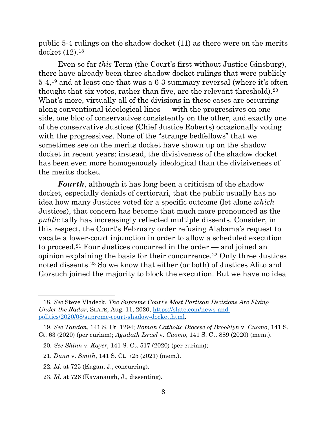public 5-4 rulings on the shadow docket (11) as there were on the merits docket (12).[18](#page-8-0)

Even so far *this* Term (the Court's first without Justice Ginsburg), there have already been three shadow docket rulings that were publicly 5-4,[19](#page-8-1) and at least one that was a 6-3 summary reversal (where it's often thought that six votes, rather than five, are the relevant threshold).<sup>[20](#page-8-2)</sup> What's more, virtually all of the divisions in these cases are occurring along conventional ideological lines — with the progressives on one side, one bloc of conservatives consistently on the other, and exactly one of the conservative Justices (Chief Justice Roberts) occasionally voting with the progressives. None of the "strange bedfellows" that we sometimes see on the merits docket have shown up on the shadow docket in recent years; instead, the divisiveness of the shadow docket has been even more homogenously ideological than the divisiveness of the merits docket.

*Fourth*, although it has long been a criticism of the shadow docket, especially denials of certiorari, that the public usually has no idea how many Justices voted for a specific outcome (let alone *which* Justices), that concern has become that much more pronounced as the *public* tally has increasingly reflected multiple dissents. Consider, in this respect, the Court's February order refusing Alabama's request to vacate a lower-court injunction in order to allow a scheduled execution to proceed.[21](#page-8-3) Four Justices concurred in the order — and joined an opinion explaining the basis for their concurrence.[22](#page-8-4) Only three Justices noted dissents.[23](#page-8-5) So we know that either (or both) of Justices Alito and Gorsuch joined the majority to block the execution. But we have no idea

<span id="page-8-0"></span><sup>18.</sup> *See* Steve Vladeck, *The Supreme Court's Most Partisan Decisions Are Flying Under the Radar*, SLATE, Aug. 11, 2020, [https://slate.com/news-and](https://slate.com/news-and-politics/2020/08/supreme-court-shadow-docket.html)[politics/2020/08/supreme-court-shadow-docket.html.](https://slate.com/news-and-politics/2020/08/supreme-court-shadow-docket.html)

<span id="page-8-2"></span><span id="page-8-1"></span><sup>19.</sup> *See Tandon*, 141 S. Ct. 1294; *Roman Catholic Diocese of Brooklyn* v. *Cuomo*, 141 S. Ct. 63 (2020) (per curiam); *Agudath Israel* v. *Cuomo*, 141 S. Ct. 889 (2020) (mem.).

<sup>20.</sup> *See Shinn* v. *Kayer*, 141 S. Ct. 517 (2020) (per curiam);

<span id="page-8-3"></span><sup>21.</sup> *Dunn* v. *Smith*, 141 S. Ct. 725 (2021) (mem.).

<span id="page-8-4"></span><sup>22.</sup> *Id*. at 725 (Kagan, J., concurring).

<span id="page-8-5"></span><sup>23.</sup> *Id*. at 726 (Kavanaugh, J., dissenting).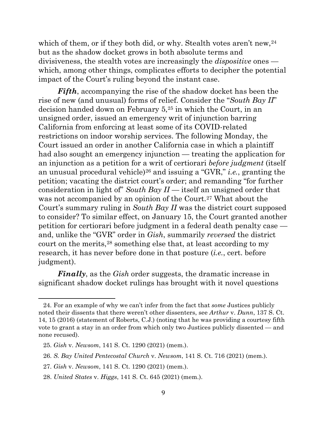which of them, or if they both did, or why. Stealth votes aren't new, <sup>[24](#page-9-0)</sup> but as the shadow docket grows in both absolute terms and divisiveness, the stealth votes are increasingly the *dispositive* ones which, among other things, complicates efforts to decipher the potential impact of the Court's ruling beyond the instant case.

*Fifth*, accompanying the rise of the shadow docket has been the rise of new (and unusual) forms of relief. Consider the "*South Bay II*" decision handed down on February 5,[25](#page-9-1) in which the Court, in an unsigned order, issued an emergency writ of injunction barring California from enforcing at least some of its COVID-related restrictions on indoor worship services. The following Monday, the Court issued an order in another California case in which a plaintiff had also sought an emergency injunction — treating the application for an injunction as a petition for a writ of certiorari *before judgment* (itself an unusual procedural vehicle)[26](#page-9-2) and issuing a "GVR," *i.e.*, granting the petition; vacating the district court's order; and remanding "for further consideration in light of" *South Bay II* — itself an unsigned order that was not accompanied by an opinion of the Court.<sup>[27](#page-9-3)</sup> What about the Court's summary ruling in *South Bay II* was the district court supposed to consider? To similar effect, on January 15, the Court granted another petition for certiorari before judgment in a federal death penalty case and, unlike the "GVR" order in *Gish*, summarily *reversed* the district court on the merits,[28](#page-9-4) something else that, at least according to my research, it has never before done in that posture (*i.e.*, cert. before judgment).

*Finally*, as the *Gish* order suggests, the dramatic increase in significant shadow docket rulings has brought with it novel questions

<span id="page-9-0"></span><sup>24.</sup> For an example of why we can't infer from the fact that *some* Justices publicly noted their dissents that there weren't other dissenters, see *Arthur* v. *Dunn*, 137 S. Ct. 14, 15 (2016) (statement of Roberts, C.J.) (noting that he was providing a courtesy fifth vote to grant a stay in an order from which only two Justices publicly dissented — and none recused).

<span id="page-9-1"></span><sup>25.</sup> *Gish* v. *Newsom*, 141 S. Ct. 1290 (2021) (mem.).

<span id="page-9-2"></span><sup>26.</sup> *S. Bay United Pentecostal Church* v. *Newsom*, 141 S. Ct. 716 (2021) (mem.).

<span id="page-9-3"></span><sup>27.</sup> *Gish* v. *Newsom*, 141 S. Ct. 1290 (2021) (mem.).

<span id="page-9-4"></span><sup>28.</sup> *United States* v. *Higgs*, 141 S. Ct. 645 (2021) (mem.).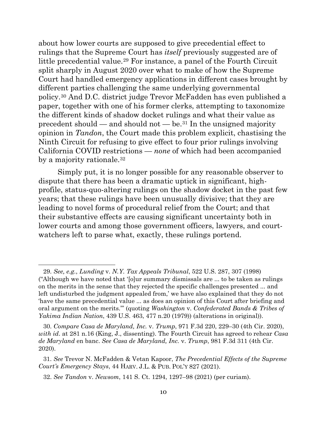about how lower courts are supposed to give precedential effect to rulings that the Supreme Court has *itself* previously suggested are of little precedential value.<sup>[29](#page-10-0)</sup> For instance, a panel of the Fourth Circuit split sharply in August 2020 over what to make of how the Supreme Court had handled emergency applications in different cases brought by different parties challenging the same underlying governmental policy.[30](#page-10-1) And D.C. district judge Trevor McFadden has even published a paper, together with one of his former clerks, attempting to taxonomize the different kinds of shadow docket rulings and what their value as precedent should — and should not — be.<sup>[31](#page-10-2)</sup> In the unsigned majority opinion in *Tandon*, the Court made this problem explicit, chastising the Ninth Circuit for refusing to give effect to four prior rulings involving California COVID restrictions — *none* of which had been accompanied by a majority rationale.<sup>[32](#page-10-3)</sup>

Simply put, it is no longer possible for any reasonable observer to dispute that there has been a dramatic uptick in significant, highprofile, status-quo-altering rulings on the shadow docket in the past few years; that these rulings have been unusually divisive; that they are leading to novel forms of procedural relief from the Court; and that their substantive effects are causing significant uncertainty both in lower courts and among those government officers, lawyers, and courtwatchers left to parse what, exactly, these rulings portend.

<span id="page-10-1"></span>30. *Compare Casa de Maryland, Inc.* v. *Trump*, 971 F.3d 220, 229–30 (4th Cir. 2020), *with id*. at 281 n.16 (King, J., dissenting). The Fourth Circuit has agreed to rehear *Casa de Maryland* en banc. *See Casa de Maryland, Inc.* v. *Trump*, 981 F.3d 311 (4th Cir. 2020).

<span id="page-10-0"></span><sup>29.</sup> *See, e.g.*, *Lunding* v. *N.Y. Tax Appeals Tribunal*, 522 U.S. 287, 307 (1998) ("Although we have noted that '[o]ur summary dismissals are ... to be taken as rulings on the merits in the sense that they rejected the specific challenges presented ... and left undisturbed the judgment appealed from,' we have also explained that they do not 'have the same precedential value ... as does an opinion of this Court after briefing and oral argument on the merits.'" (quoting *Washington* v. *Confederated Bands & Tribes of Yakima Indian Nation*, 439 U.S. 463, 477 n.20 (1979)) (alterations in original)).

<span id="page-10-3"></span><span id="page-10-2"></span><sup>31.</sup> *See* Trevor N. McFadden & Vetan Kapoor, *The Precedential Effects of the Supreme Court's Emergency Stays*, 44 HARV. J.L. & PUB. POL'Y 827 (2021).

<sup>32.</sup> *See Tandon* v. *Newsom*, 141 S. Ct. 1294, 1297–98 (2021) (per curiam).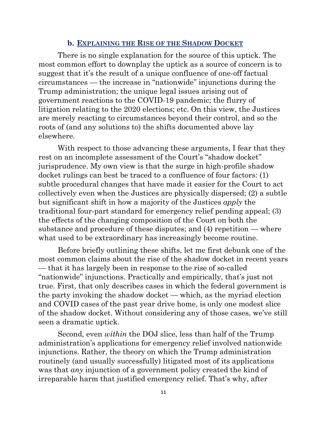#### **b. EXPLAINING THE RISE OF THE SHADOW DOCKET**

There is no single explanation for the source of this uptick. The most common effort to downplay the uptick as a source of concern is to suggest that it's the result of a unique confluence of one-off factual circumstances — the increase in "nationwide" injunctions during the Trump administration; the unique legal issues arising out of government reactions to the COVID-19 pandemic; the flurry of litigation relating to the 2020 elections; etc. On this view, the Justices are merely reacting to circumstances beyond their control, and so the roots of (and any solutions to) the shifts documented above lay elsewhere.

With respect to those advancing these arguments, I fear that they rest on an incomplete assessment of the Court's "shadow docket" jurisprudence. My own view is that the surge in high-profile shadow docket rulings can best be traced to a confluence of four factors: (1) subtle procedural changes that have made it easier for the Court to act collectively even when the Justices are physically dispersed; (2) a subtle but significant shift in how a majority of the Justices *apply* the traditional four-part standard for emergency relief pending appeal; (3) the effects of the changing composition of the Court on both the substance and procedure of these disputes; and (4) repetition — where what used to be extraordinary has increasingly become routine.

Before briefly outlining these shifts, let me first debunk one of the most common claims about the rise of the shadow docket in recent years — that it has largely been in response to the rise of so-called "nationwide" injunctions. Practically and empirically, that's just not true. First, that only describes cases in which the federal government is the party invoking the shadow docket — which, as the myriad election and COVID cases of the past year drive home, is only one modest slice of the shadow docket. Without considering any of those cases, we've still seen a dramatic uptick.

Second, even *within* the DOJ slice, less than half of the Trump administration's applications for emergency relief involved nationwide injunctions. Rather, the theory on which the Trump administration routinely (and usually successfully) litigated most of its applications was that *any* injunction of a government policy created the kind of irreparable harm that justified emergency relief. That's why, after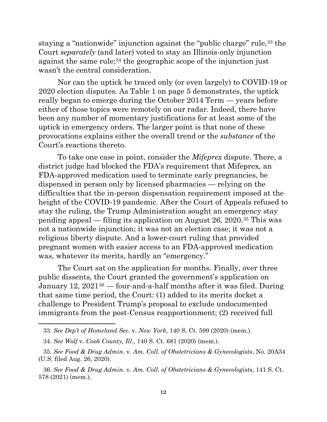staying a "nationwide" injunction against the "public charge" rule,[33](#page-12-0) the Court *separately* (and later) voted to stay an Illinois-only injunction against the same rule;<sup>[34](#page-12-1)</sup> the geographic scope of the injunction just wasn't the central consideration.

Nor can the uptick be traced only (or even largely) to COVID-19 or 2020 election disputes. As Table 1 on page 5 demonstrates, the uptick really began to emerge during the October 2014 Term — years before either of those topics were remotely on our radar. Indeed, there have been any number of momentary justifications for at least some of the uptick in emergency orders. The larger point is that none of these provocations explains either the overall trend or the *substance* of the Court's reactions thereto.

To take one case in point, consider the *Mifeprex* dispute. There, a district judge had blocked the FDA's requirement that Mifeprex, an FDA-approved medication used to terminate early pregnancies, be dispensed in person only by licensed pharmacies — relying on the difficulties that the in-person dispensation requirement imposed at the height of the COVID-19 pandemic. After the Court of Appeals refused to stay the ruling, the Trump Administration sought an emergency stay pending appeal — filing its application on August 26, 2020.[35](#page-12-2) This was not a nationwide injunction; it was not an election case; it was not a religious liberty dispute. And a lower-court ruling that provided pregnant women with easier access to an FDA-approved medication was, whatever its merits, hardly an "emergency."

The Court sat on the application for months. Finally, over three public dissents, the Court granted the government's application on January 12, 2021[36](#page-12-3) — four-and-a-half months after it was filed. During that same time period, the Court: (1) added to its merits docket a challenge to President Trump's proposal to exclude undocumented immigrants from the post-Census reapportionment; (2) received full

<span id="page-12-0"></span><sup>33.</sup> *See Dep't of Homeland Sec.* v. *New York*, 140 S. Ct. 599 (2020) (mem.).

<sup>34.</sup> *See Wolf* v. *Cook County, Ill.*, 140 S. Ct. 681 (2020) (mem.).

<span id="page-12-2"></span><span id="page-12-1"></span><sup>35.</sup> *See Food & Drug Admin.* v. *Am. Coll. of Obstetricians & Gynecologists*, No. 20A34 (U.S. filed Aug. 26, 2020).

<span id="page-12-3"></span><sup>36.</sup> *See Food & Drug Admin.* v. *Am. Coll. of Obstetricians & Gynecologists*, 141 S. Ct. 578 (2021) (mem.).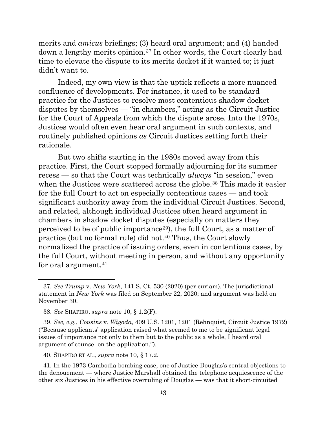merits and *amicus* briefings; (3) heard oral argument; and (4) handed down a lengthy merits opinion.[37](#page-13-0) In other words, the Court clearly had time to elevate the dispute to its merits docket if it wanted to; it just didn't want to.

Indeed, my own view is that the uptick reflects a more nuanced confluence of developments. For instance, it used to be standard practice for the Justices to resolve most contentious shadow docket disputes by themselves — "in chambers," acting as the Circuit Justice for the Court of Appeals from which the dispute arose. Into the 1970s, Justices would often even hear oral argument in such contexts, and routinely published opinions *as* Circuit Justices setting forth their rationale.

But two shifts starting in the 1980s moved away from this practice. First, the Court stopped formally adjourning for its summer recess — so that the Court was technically *always* "in session," even when the Justices were scattered across the globe.<sup>[38](#page-13-1)</sup> This made it easier for the full Court to act on especially contentious cases — and took significant authority away from the individual Circuit Justices. Second, and related, although individual Justices often heard argument in chambers in shadow docket disputes (especially on matters they perceived to be of public importance[39\)](#page-13-2), the full Court, as a matter of practice (but no formal rule) did not.[40](#page-13-3) Thus, the Court slowly normalized the practice of issuing orders, even in contentious cases, by the full Court, without meeting in person, and without any opportunity for oral argument.<sup>[41](#page-13-4)</sup>

<span id="page-13-0"></span><sup>37.</sup> *See Trump* v. *New York*, 141 S. Ct. 530 (2020) (per curiam). The jurisdictional statement in *New York* was filed on September 22, 2020; and argument was held on November 30.

<sup>38.</sup> *See* SHAPIRO, *supra* note 10, § 1.2(F).

<span id="page-13-2"></span><span id="page-13-1"></span><sup>39.</sup> *See, e.g.*, *Cousins* v. *Wigoda*, 409 U.S. 1201, 1201 (Rehnquist, Circuit Justice 1972) ("Because applicants' application raised what seemed to me to be significant legal issues of importance not only to them but to the public as a whole, I heard oral argument of counsel on the application.").

<sup>40.</sup> SHAPIRO ET AL., *supra* note 10, § 17.2.

<span id="page-13-4"></span><span id="page-13-3"></span><sup>41.</sup> In the 1973 Cambodia bombing case, one of Justice Douglas's central objections to the denouement — where Justice Marshall obtained the telephone acquiescence of the other six Justices in his effective overruling of Douglas — was that it short-circuited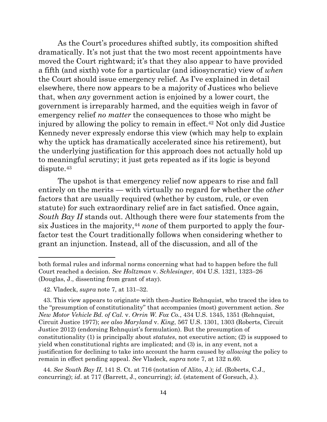As the Court's procedures shifted subtly, its composition shifted dramatically. It's not just that the two most recent appointments have moved the Court rightward; it's that they also appear to have provided a fifth (and sixth) vote for a particular (and idiosyncratic) view of *when* the Court should issue emergency relief. As I've explained in detail elsewhere, there now appears to be a majority of Justices who believe that, when *any* government action is enjoined by a lower court, the government is irreparably harmed, and the equities weigh in favor of emergency relief *no matter* the consequences to those who might be injured by allowing the policy to remain in effect.[42](#page-14-0) Not only did Justice Kennedy never expressly endorse this view (which may help to explain why the uptick has dramatically accelerated since his retirement), but the underlying justification for this approach does not actually hold up to meaningful scrutiny; it just gets repeated as if its logic is beyond dispute.[43](#page-14-1)

The upshot is that emergency relief now appears to rise and fall entirely on the merits — with virtually no regard for whether the *other* factors that are usually required (whether by custom, rule, or even statute) for such extraordinary relief are in fact satisfied. Once again, *South Bay II* stands out. Although there were four statements from the six Justices in the majority,[44](#page-14-2) *none* of them purported to apply the fourfactor test the Court traditionally follows when considering whether to grant an injunction. Instead, all of the discussion, and all of the

<span id="page-14-2"></span>44. *See South Bay II*, 141 S. Ct. at 716 (notation of Alito, J.); *id*. (Roberts, C.J., concurring); *id*. at 717 (Barrett, J., concurring); *id*. (statement of Gorsuch, J.).

both formal rules and informal norms concerning what had to happen before the full Court reached a decision. *See Holtzman* v. *Schlesinger*, 404 U.S. 1321, 1323–26 (Douglas, J., dissenting from grant of stay).

<sup>42.</sup> Vladeck, *supra* note [7,](#page-4-4) at 131–32.

<span id="page-14-1"></span><span id="page-14-0"></span><sup>43.</sup> This view appears to originate with then-Justice Rehnquist, who traced the idea to the "presumption of constitutionality" that accompanies (most) government action. *See New Motor Vehicle Bd. of Cal.* v. *Orrin W. Fox Co.*, 434 U.S. 1345, 1351 (Rehnquist, Circuit Justice 1977); *see also Maryland* v. *King*, 567 U.S. 1301, 1303 (Roberts, Circuit Justice 2012) (endorsing Rehnquist's formulation). But the presumption of constitutionality (1) is principally about *statutes*, not executive action; (2) is supposed to yield when constitutional rights are implicated; and (3) is, in any event, not a justification for declining to take into account the harm caused by *allowing* the policy to remain in effect pending appeal. *See* Vladeck, *supra* note [7,](#page-4-4) at 132 n.60.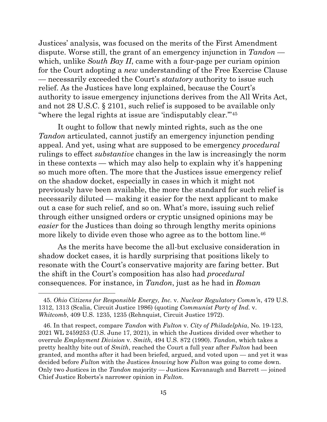Justices' analysis, was focused on the merits of the First Amendment dispute. Worse still, the grant of an emergency injunction in *Tandon* which, unlike *South Bay II*, came with a four-page per curiam opinion for the Court adopting a *new* understanding of the Free Exercise Clause — necessarily exceeded the Court's *statutory* authority to issue such relief. As the Justices have long explained, because the Court's authority to issue emergency injunctions derives from the All Writs Act, and not 28 U.S.C. § 2101, such relief is supposed to be available only "where the legal rights at issue are 'indisputably clear."<sup>[45](#page-15-0)</sup>

It ought to follow that newly minted rights, such as the one *Tandon* articulated, cannot justify an emergency injunction pending appeal. And yet, using what are supposed to be emergency *procedural*  rulings to effect *substantive* changes in the law is increasingly the norm in these contexts — which may also help to explain why it's happening so much more often. The more that the Justices issue emergency relief on the shadow docket, especially in cases in which it might not previously have been available, the more the standard for such relief is necessarily diluted — making it easier for the next applicant to make out a case for such relief, and so on. What's more, issuing such relief through either unsigned orders or cryptic unsigned opinions may be *easier* for the Justices than doing so through lengthy merits opinions more likely to divide even those who agree as to the bottom line.<sup>[46](#page-15-1)</sup>

As the merits have become the all-but exclusive consideration in shadow docket cases, it is hardly surprising that positions likely to resonate with the Court's conservative majority are faring better. But the shift in the Court's composition has also had *procedural* consequences. For instance, in *Tandon*, just as he had in *Roman* 

<span id="page-15-0"></span><sup>45.</sup> *Ohio Citizens for Responsible Energy, Inc.* v. *Nuclear Regulatory Comm'n*, 479 U.S. 1312, 1313 (Scalia, Circuit Justice 1986) (quoting *Communist Party of Ind.* v. *Whitcomb*, 409 U.S. 1235, 1235 (Rehnquist, Circuit Justice 1972).

<span id="page-15-1"></span><sup>46.</sup> In that respect, compare *Tandon* with *Fulton* v. *City of Philadelphia*, No. 19-123, 2021 WL 2459253 (U.S. June 17, 2021), in which the Justices divided over whether to overrule *Employment Division* v. *Smith*, 494 U.S. 872 (1990). *Tandon*, which takes a pretty healthy bite out of *Smith*, reached the Court a full year after *Fulton* had been granted, and months after it had been briefed, argued, and voted upon — and yet it was decided before *Fulton* with the Justices *knowing* how *Fulton* was going to come down. Only two Justices in the *Tandon* majority — Justices Kavanaugh and Barrett — joined Chief Justice Roberts's narrower opinion in *Fulton*.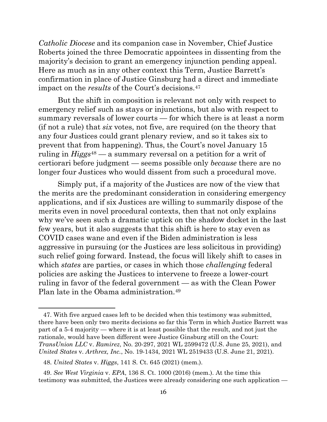*Catholic Diocese* and its companion case in November, Chief Justice Roberts joined the three Democratic appointees in dissenting from the majority's decision to grant an emergency injunction pending appeal. Here as much as in any other context this Term, Justice Barrett's confirmation in place of Justice Ginsburg had a direct and immediate impact on the *results* of the Court's decisions[.47](#page-16-0)

But the shift in composition is relevant not only with respect to emergency relief such as stays or injunctions, but also with respect to summary reversals of lower courts — for which there is at least a norm (if not a rule) that *six* votes, not five, are required (on the theory that any four Justices could grant plenary review, and so it takes six to prevent that from happening). Thus, the Court's novel January 15 ruling in *Higgs*[48](#page-16-1) — a summary reversal on a petition for a writ of certiorari before judgment — seems possible only *because* there are no longer four Justices who would dissent from such a procedural move.

Simply put, if a majority of the Justices are now of the view that the merits are the predominant consideration in considering emergency applications, and if six Justices are willing to summarily dispose of the merits even in novel procedural contexts, then that not only explains why we've seen such a dramatic uptick on the shadow docket in the last few years, but it also suggests that this shift is here to stay even as COVID cases wane and even if the Biden administration is less aggressive in pursuing (or the Justices are less solicitous in providing) such relief going forward. Instead, the focus will likely shift to cases in which *states* are parties, or cases in which those *challenging* federal policies are asking the Justices to intervene to freeze a lower-court ruling in favor of the federal government — as with the Clean Power Plan late in the Obama administration.[49](#page-16-2)

<span id="page-16-0"></span><sup>47.</sup> With five argued cases left to be decided when this testimony was submitted, there have been only two merits decisions so far this Term in which Justice Barrett was part of a 5-4 majority — where it is at least possible that the result, and not just the rationale, would have been different were Justice Ginsburg still on the Court: *TransUnion LLC* v. *Ramirez*, No. 20-297, 2021 WL 2599472 (U.S. June 25, 2021), and *United States* v. *Arthrex, Inc.*, No. 19-1434, 2021 WL 2519433 (U.S. June 21, 2021).

<sup>48.</sup> *United States* v. *Higgs*, 141 S. Ct. 645 (2021) (mem.).

<span id="page-16-2"></span><span id="page-16-1"></span><sup>49.</sup> *See West Virginia* v. *EPA*, 136 S. Ct. 1000 (2016) (mem.). At the time this testimony was submitted, the Justices were already considering one such application —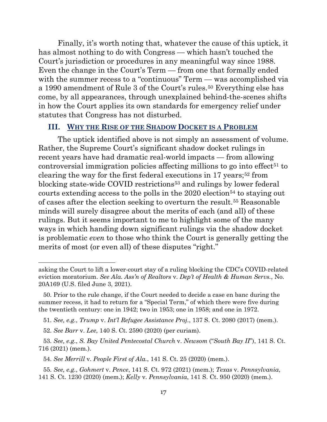Finally, it's worth noting that, whatever the cause of this uptick, it has almost nothing to do with Congress — which hasn't touched the Court's jurisdiction or procedures in any meaningful way since 1988. Even the change in the Court's Term — from one that formally ended with the summer recess to a "continuous" Term — was accomplished via a 1990 amendment of Rule 3 of the Court's rules.[50](#page-17-0) Everything else has come, by all appearances, through unexplained behind-the-scenes shifts in how the Court applies its own standards for emergency relief under statutes that Congress has not disturbed.

#### **III. WHY THE RISE OF THE SHADOW DOCKET IS A PROBLEM**

The uptick identified above is not simply an assessment of volume. Rather, the Supreme Court's significant shadow docket rulings in recent years have had dramatic real-world impacts — from allowing controversial immigration policies affecting millions to go into effect<sup> $51$ </sup> to clearing the way for the first federal executions in 17 years;[52](#page-17-2) from blocking state-wide COVID restrictions<sup>[53](#page-17-3)</sup> and rulings by lower federal courts extending access to the polls in the  $2020$  election<sup>[54](#page-17-4)</sup> to staying out of cases after the election seeking to overturn the result.[55](#page-17-5) Reasonable minds will surely disagree about the merits of each (and all) of these rulings. But it seems important to me to highlight some of the many ways in which handing down significant rulings via the shadow docket is problematic *even* to those who think the Court is generally getting the merits of most (or even all) of these disputes "right."

<span id="page-17-1"></span>51. *See, e.g.*, *Trump* v. *Int'l Refugee Assistance Proj.*, 137 S. Ct. 2080 (2017) (mem.).

54. *See Merrill* v. *People First of Ala.*, 141 S. Ct. 25 (2020) (mem.).

asking the Court to lift a lower-court stay of a ruling blocking the CDC's COVID-related eviction moratorium. *See Ala. Ass'n of Realtors* v. *Dep't of Health & Human Servs.*, No. 20A169 (U.S. filed June 3, 2021).

<span id="page-17-0"></span><sup>50.</sup> Prior to the rule change, if the Court needed to decide a case en banc during the summer recess, it had to return for a "Special Term," of which there were five during the twentieth century: one in 1942; two in 1953; one in 1958; and one in 1972.

<sup>52.</sup> *See Barr* v. *Lee*, 140 S. Ct. 2590 (2020) (per curiam).

<span id="page-17-3"></span><span id="page-17-2"></span><sup>53.</sup> *See, e.g.*, *S. Bay United Pentecostal Church* v. *Newsom* ("*South Bay II*"), 141 S. Ct. 716 (2021) (mem.).

<span id="page-17-5"></span><span id="page-17-4"></span><sup>55.</sup> *See, e.g.*, *Gohmert* v. *Pence*, 141 S. Ct. 972 (2021) (mem.); *Texas* v. *Pennsylvania*, 141 S. Ct. 1230 (2020) (mem.); *Kelly* v. *Pennsylvania*, 141 S. Ct. 950 (2020) (mem.).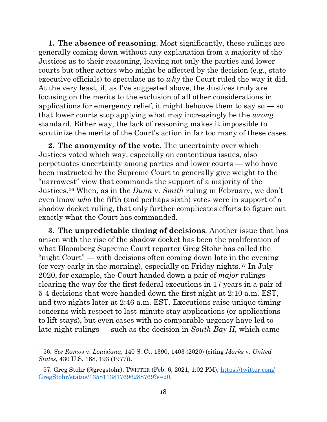**1. The absence of reasoning**. Most significantly, these rulings are generally coming down without any explanation from a majority of the Justices as to their reasoning, leaving not only the parties and lower courts but other actors who might be affected by the decision (e.g., state executive officials) to speculate as to *why* the Court ruled the way it did. At the very least, if, as I've suggested above, the Justices truly are focusing on the merits to the exclusion of all other considerations in applications for emergency relief, it might behoove them to say  $\mathbf{so} - \mathbf{so}$ that lower courts stop applying what may increasingly be the *wrong* standard. Either way, the lack of reasoning makes it impossible to scrutinize the merits of the Court's action in far too many of these cases.

**2. The anonymity of the vote**. The uncertainty over which Justices voted which way, especially on contentious issues, also perpetuates uncertainty among parties and lower courts — who have been instructed by the Supreme Court to generally give weight to the "narrowest" view that commands the support of a majority of the Justices.[56](#page-18-0) When, as in the *Dunn* v. *Smith* ruling in February, we don't even know *who* the fifth (and perhaps sixth) votes were in support of a shadow docket ruling, that only further complicates efforts to figure out exactly what the Court has commanded.

**3. The unpredictable timing of decisions**. Another issue that has arisen with the rise of the shadow docket has been the proliferation of what Bloomberg Supreme Court reporter Greg Stohr has called the "night Court" — with decisions often coming down late in the evening (or very early in the morning), especially on Friday nights.[57](#page-18-1) In July 2020, for example, the Court handed down a pair of *major* rulings clearing the way for the first federal executions in 17 years in a pair of 5-4 decisions that were handed down the first night at 2:10 a.m. EST, and two nights later at 2:46 a.m. EST. Executions raise unique timing concerns with respect to last-minute stay applications (or applications to lift stays), but even cases with no comparable urgency have led to late-night rulings — such as the decision in *South Bay II*, which came

<span id="page-18-0"></span><sup>56.</sup> *See Ramos* v. *Louisiana*, 140 S. Ct. 1390, 1403 (2020) (citing *Marks* v. *United States*, 430 U.S. 188, 193 (1977)).

<span id="page-18-1"></span><sup>57.</sup> Greg Stohr (@gregstohr), TWITTER (Feb. 6, 2021, 1:02 PM), [https://twitter.com/](https://twitter.com/GregStohr/status/1358113817696288769?s=20) [GregStohr/status/1358113817696288769?s=20.](https://twitter.com/GregStohr/status/1358113817696288769?s=20)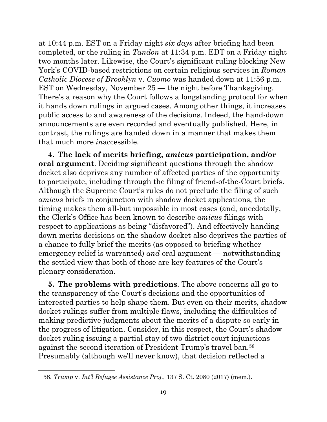at 10:44 p.m. EST on a Friday night *six days* after briefing had been completed, or the ruling in *Tandon* at 11:34 p.m. EDT on a Friday night two months later. Likewise, the Court's significant ruling blocking New York's COVID-based restrictions on certain religious services in *Roman Catholic Diocese of Brooklyn* v. *Cuomo* was handed down at 11:56 p.m. EST on Wednesday, November 25 — the night before Thanksgiving. There's a reason why the Court follows a longstanding protocol for when it hands down rulings in argued cases. Among other things, it increases public access to and awareness of the decisions. Indeed, the hand-down announcements are even recorded and eventually published. Here, in contrast, the rulings are handed down in a manner that makes them that much more *in*accessible.

**4. The lack of merits briefing,** *amicus* **participation, and/or oral argument**. Deciding significant questions through the shadow docket also deprives any number of affected parties of the opportunity to participate, including through the filing of friend-of-the-Court briefs. Although the Supreme Court's rules do not preclude the filing of such *amicus* briefs in conjunction with shadow docket applications, the timing makes them all-but impossible in most cases (and, anecdotally, the Clerk's Office has been known to describe *amicus* filings with respect to applications as being "disfavored"). And effectively handing down merits decisions on the shadow docket also deprives the parties of a chance to fully brief the merits (as opposed to briefing whether emergency relief is warranted) *and* oral argument — notwithstanding the settled view that both of those are key features of the Court's plenary consideration.

**5. The problems with predictions**. The above concerns all go to the transparency of the Court's decisions and the opportunities of interested parties to help shape them. But even on their merits, shadow docket rulings suffer from multiple flaws, including the difficulties of making predictive judgments about the merits of a dispute so early in the progress of litigation. Consider, in this respect, the Court's shadow docket ruling issuing a partial stay of two district court injunctions against the second iteration of President Trump's travel ban.[58](#page-19-0) Presumably (although we'll never know), that decision reflected a

<span id="page-19-0"></span><sup>58.</sup> *Trump* v. *Int'l Refugee Assistance Proj.*, 137 S. Ct. 2080 (2017) (mem.).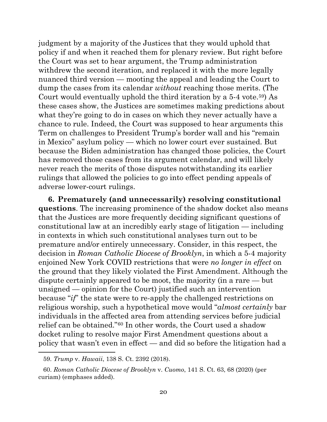judgment by a majority of the Justices that they would uphold that policy if and when it reached them for plenary review. But right before the Court was set to hear argument, the Trump administration withdrew the second iteration, and replaced it with the more legally nuanced third version — mooting the appeal and leading the Court to dump the cases from its calendar *without* reaching those merits. (The Court would eventually uphold the third iteration by a 5-4 vote.[59\)](#page-20-0) As these cases show, the Justices are sometimes making predictions about what they're going to do in cases on which they never actually have a chance to rule. Indeed, the Court was supposed to hear arguments this Term on challenges to President Trump's border wall and his "remain in Mexico" asylum policy — which no lower court ever sustained. But because the Biden administration has changed those policies, the Court has removed those cases from its argument calendar, and will likely never reach the merits of those disputes notwithstanding its earlier rulings that allowed the policies to go into effect pending appeals of adverse lower-court rulings.

**6. Prematurely (and unnecessarily) resolving constitutional questions**. The increasing prominence of the shadow docket also means that the Justices are more frequently deciding significant questions of constitutional law at an incredibly early stage of litigation — including in contexts in which such constitutional analyses turn out to be premature and/or entirely unnecessary. Consider, in this respect, the decision in *Roman Catholic Diocese of Brooklyn*, in which a 5-4 majority enjoined New York COVID restrictions that were *no longer in effect* on the ground that they likely violated the First Amendment. Although the dispute certainly appeared to be moot, the majority (in a rare — but unsigned — opinion for the Court) justified such an intervention because "*if*" the state were to re-apply the challenged restrictions on religious worship, such a hypothetical move would "*almost certainly* bar individuals in the affected area from attending services before judicial relief can be obtained."[60](#page-20-1) In other words, the Court used a shadow docket ruling to resolve major First Amendment questions about a policy that wasn't even in effect — and did so before the litigation had a

<sup>59.</sup> *Trump* v. *Hawaii*, 138 S. Ct. 2392 (2018).

<span id="page-20-1"></span><span id="page-20-0"></span><sup>60.</sup> *Roman Catholic Diocese of Brooklyn* v. *Cuomo*, 141 S. Ct. 63, 68 (2020) (per curiam) (emphases added).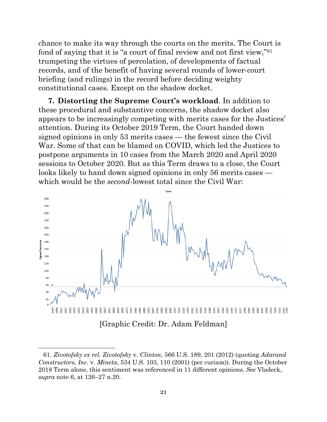chance to make its way through the courts on the merits. The Court is fond of saying that it is "a court of final review and not first view,"[61](#page-21-0) trumpeting the virtues of percolation, of developments of factual records, and of the benefit of having several rounds of lower-court briefing (and rulings) in the record before deciding weighty constitutional cases. Except on the shadow docket.

**7. Distorting the Supreme Court's workload**. In addition to these procedural and substantive concerns, the shadow docket also appears to be increasingly competing with merits cases for the Justices' attention. During its October 2019 Term, the Court handed down signed opinions in only 53 merits cases — the fewest since the Civil War. Some of that can be blamed on COVID, which led the Justices to postpone arguments in 10 cases from the March 2020 and April 2020 sessions to October 2020. But as this Term draws to a close, the Court looks likely to hand down signed opinions in only 56 merits cases which would be the *second*-lowest total since the Civil War:



<span id="page-21-0"></span><sup>61.</sup> *Zivotofsky ex rel. Zivotofsky* v. *Clinton*, 566 U.S. 189, 201 (2012) (quoting *Adarand Constructors, Inc.* v. *Mineta*, 534 U.S. 103, 110 (2001) (per curiam)). During the October 2018 Term alone, this sentiment was referenced in 11 different opinions. *See* Vladeck, *supra* note 6, at 126–27 n.20.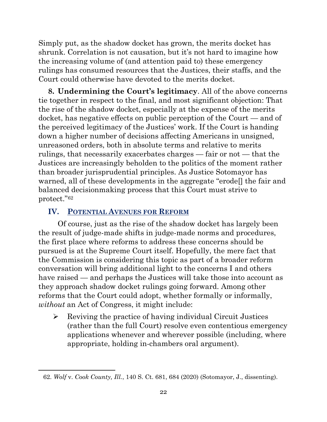Simply put, as the shadow docket has grown, the merits docket has shrunk. Correlation is not causation, but it's not hard to imagine how the increasing volume of (and attention paid to) these emergency rulings has consumed resources that the Justices, their staffs, and the Court could otherwise have devoted to the merits docket.

**8. Undermining the Court's legitimacy**. All of the above concerns tie together in respect to the final, and most significant objection: That the rise of the shadow docket, especially at the expense of the merits docket, has negative effects on public perception of the Court — and of the perceived legitimacy of the Justices' work. If the Court is handing down a higher number of decisions affecting Americans in unsigned, unreasoned orders, both in absolute terms and relative to merits rulings, that necessarily exacerbates charges — fair or not — that the Justices are increasingly beholden to the politics of the moment rather than broader jurisprudential principles. As Justice Sotomayor has warned, all of these developments in the aggregate "erode[] the fair and balanced decisionmaking process that this Court must strive to protect."[62](#page-22-0)

# **IV. POTENTIAL AVENUES FOR REFORM**

Of course, just as the rise of the shadow docket has largely been the result of judge-made shifts in judge-made norms and procedures, the first place where reforms to address these concerns should be pursued is at the Supreme Court itself. Hopefully, the mere fact that the Commission is considering this topic as part of a broader reform conversation will bring additional light to the concerns I and others have raised — and perhaps the Justices will take those into account as they approach shadow docket rulings going forward. Among other reforms that the Court could adopt, whether formally or informally, *without* an Act of Congress, it might include:

 $\triangleright$  Reviving the practice of having individual Circuit Justices (rather than the full Court) resolve even contentious emergency applications whenever and wherever possible (including, where appropriate, holding in-chambers oral argument).

<span id="page-22-0"></span><sup>62.</sup> *Wolf* v. *Cook County, Ill.*, 140 S. Ct. 681, 684 (2020) (Sotomayor, J., dissenting).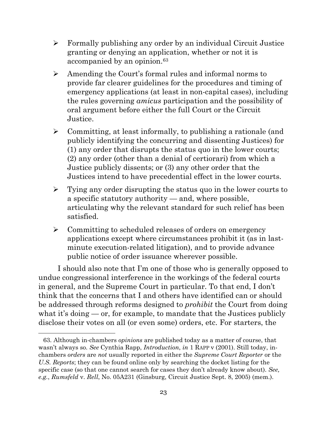- $\triangleright$  Formally publishing any order by an individual Circuit Justice granting or denying an application, whether or not it is accompanied by an opinion.<sup>[63](#page-23-0)</sup>
- Amending the Court's formal rules and informal norms to provide far clearer guidelines for the procedures and timing of emergency applications (at least in non-capital cases), including the rules governing *amicus* participation and the possibility of oral argument before either the full Court or the Circuit Justice.
- $\triangleright$  Committing, at least informally, to publishing a rationale (and publicly identifying the concurring and dissenting Justices) for (1) any order that disrupts the status quo in the lower courts; (2) any order (other than a denial of certiorari) from which a Justice publicly dissents; or (3) any other order that the Justices intend to have precedential effect in the lower courts.
- $\triangleright$  Tying any order disrupting the status quo in the lower courts to a specific statutory authority — and, where possible, articulating why the relevant standard for such relief has been satisfied.
- $\triangleright$  Committing to scheduled releases of orders on emergency applications except where circumstances prohibit it (as in lastminute execution-related litigation), and to provide advance public notice of order issuance wherever possible.

I should also note that I'm one of those who is generally opposed to undue congressional interference in the workings of the federal courts in general, and the Supreme Court in particular. To that end, I don't think that the concerns that I and others have identified can or should be addressed through reforms designed to *prohibit* the Court from doing what it's doing — or, for example, to mandate that the Justices publicly disclose their votes on all (or even some) orders, etc. For starters, the

<span id="page-23-0"></span><sup>63.</sup> Although in-chambers *opinions* are published today as a matter of course, that wasn't always so. *See* Cynthia Rapp, *Introduction*, *in* 1 RAPP v (2001). Still today, inchambers *orders* are *not* usually reported in either the *Supreme Court Reporter* or the *U.S. Reports*; they can be found online only by searching the docket listing for the specific case (so that one cannot search for cases they don't already know about). *See, e.g.*, *Rumsfeld* v. *Rell*, No. 05A231 (Ginsburg, Circuit Justice Sept. 8, 2005) (mem.).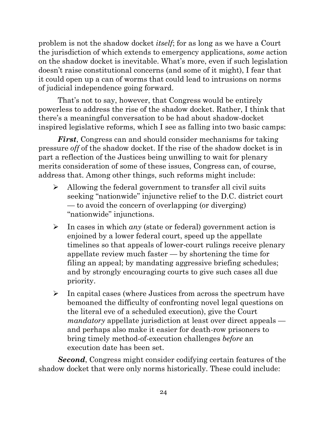problem is not the shadow docket *itself*; for as long as we have a Court the jurisdiction of which extends to emergency applications, *some* action on the shadow docket is inevitable. What's more, even if such legislation doesn't raise constitutional concerns (and some of it might), I fear that it could open up a can of worms that could lead to intrusions on norms of judicial independence going forward.

That's not to say, however, that Congress would be entirely powerless to address the rise of the shadow docket. Rather, I think that there's a meaningful conversation to be had about shadow-docket inspired legislative reforms, which I see as falling into two basic camps:

*First*, Congress can and should consider mechanisms for taking pressure *off* of the shadow docket. If the rise of the shadow docket is in part a reflection of the Justices being unwilling to wait for plenary merits consideration of some of these issues, Congress can, of course, address that. Among other things, such reforms might include:

- $\triangleright$  Allowing the federal government to transfer all civil suits seeking "nationwide" injunctive relief to the D.C. district court — to avoid the concern of overlapping (or diverging) "nationwide" injunctions.
- In cases in which *any* (state or federal) government action is enjoined by a lower federal court, speed up the appellate timelines so that appeals of lower-court rulings receive plenary appellate review much faster — by shortening the time for filing an appeal; by mandating aggressive briefing schedules; and by strongly encouraging courts to give such cases all due priority.
- $\triangleright$  In capital cases (where Justices from across the spectrum have bemoaned the difficulty of confronting novel legal questions on the literal eve of a scheduled execution), give the Court *mandatory* appellate jurisdiction at least over direct appeals and perhaps also make it easier for death-row prisoners to bring timely method-of-execution challenges *before* an execution date has been set.

*Second*, Congress might consider codifying certain features of the shadow docket that were only norms historically. These could include: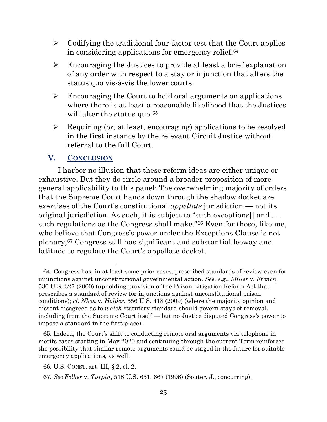- $\triangleright$  Codifying the traditional four-factor test that the Court applies in considering applications for emergency relief.<sup>[64](#page-25-0)</sup>
- Encouraging the Justices to provide at least a brief explanation of any order with respect to a stay or injunction that alters the status quo vis-à-vis the lower courts.
- $\triangleright$  Encouraging the Court to hold oral arguments on applications where there is at least a reasonable likelihood that the Justices will alter the status quo.<sup>[65](#page-25-1)</sup>
- $\triangleright$  Requiring (or, at least, encouraging) applications to be resolved in the first instance by the relevant Circuit Justice without referral to the full Court.

## **V. CONCLUSION**

I harbor no illusion that these reform ideas are either unique or exhaustive. But they do circle around a broader proposition of more general applicability to this panel: The overwhelming majority of orders that the Supreme Court hands down through the shadow docket are exercises of the Court's constitutional *appellate* jurisdiction — not its original jurisdiction. As such, it is subject to "such exceptions[] and . . . such regulations as the Congress shall make."[66](#page-25-2) Even for those, like me, who believe that Congress's power under the Exceptions Clause is not plenary,[67](#page-25-3) Congress still has significant and substantial leeway and latitude to regulate the Court's appellate docket.

<span id="page-25-0"></span><sup>64.</sup> Congress has, in at least some prior cases, prescribed standards of review even for injunctions against unconstitutional governmental action. *See, e.g.*, *Miller* v. *French*, 530 U.S. 327 (2000) (upholding provision of the Prison Litigation Reform Act that prescribes a standard of review for injunctions against unconstitutional prison conditions); *cf. Nken* v. *Holder*, 556 U.S. 418 (2009) (where the majority opinion and dissent disagreed as to *which* statutory standard should govern stays of removal, including from the Supreme Court itself — but no Justice disputed Congress's power to impose a standard in the first place).

<span id="page-25-1"></span><sup>65.</sup> Indeed, the Court's shift to conducting remote oral arguments via telephone in merits cases starting in May 2020 and continuing through the current Term reinforces the possibility that similar remote arguments could be staged in the future for suitable emergency applications, as well.

<span id="page-25-2"></span><sup>66.</sup> U.S. CONST. art. III, § 2, cl. 2.

<span id="page-25-3"></span><sup>67.</sup> *See Felker* v. *Turpin*, 518 U.S. 651, 667 (1996) (Souter, J., concurring).